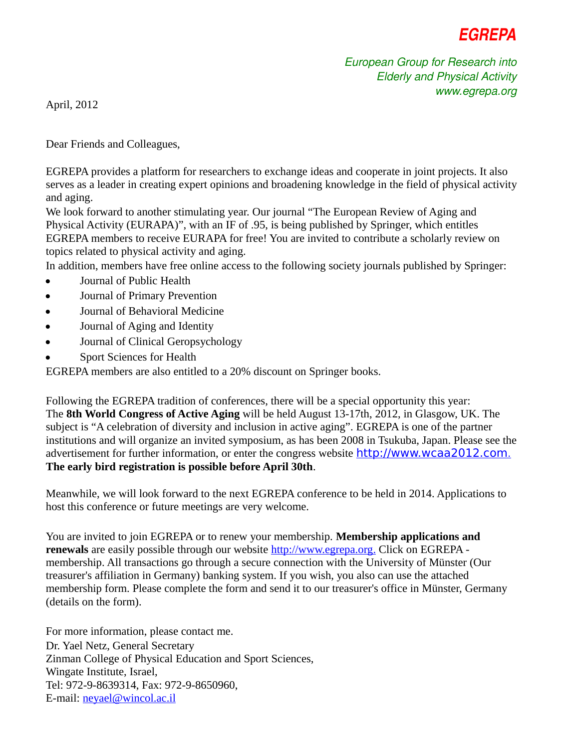

*European Group for Research into Elderly and Physical Activity www.egrepa.org*

April, 2012

Dear Friends and Colleagues,

EGREPA provides a platform for researchers to exchange ideas and cooperate in joint projects. It also serves as a leader in creating expert opinions and broadening knowledge in the field of physical activity and aging.

We look forward to another stimulating year. Our journal "The European Review of Aging and Physical Activity (EURAPA)", with an IF of .95, is being published by Springer, which entitles EGREPA members to receive EURAPA for free! You are invited to contribute a scholarly review on topics related to physical activity and aging.

In addition, members have free online access to the following society journals published by Springer:

- Journal of Public Health
- Journal of Primary Prevention
- Journal of Behavioral Medicine
- Journal of Aging and Identity
- Journal of Clinical Geropsychology
- Sport Sciences for Health

EGREPA members are also entitled to a 20% discount on Springer books.

Following the EGREPA tradition of conferences, there will be a special opportunity this year: The **8th World Congress of Active Aging** will be held August 13-17th, 2012, in Glasgow, UK. The subject is "A celebration of diversity and inclusion in active aging". EGREPA is one of the partner institutions and will organize an invited symposium, as has been 2008 in Tsukuba, Japan. Please see the advertisement for further information, or enter the congress website h[ttp://www.wcaa2012.com](http://www.wcaa2012.com/). **The early bird registration is possible before April 30th**.

Meanwhile, we will look forward to the next EGREPA conference to be held in 2014. Applications to host this conference or future meetings are very welcome.

You are invited to join EGREPA or to renew your membership. **Membership applications and renewals** are easily possible through our website **http://www.egrepa.org.** Click on EGREPA membership. All transactions go through a secure connection with the University of Münster (Our treasurer's affiliation in Germany) banking system. If you wish, you also can use the attached membership form. Please complete the form and send it to our treasurer's office in Münster, Germany (details on the form).

For more information, please contact me. Dr. Yael Netz, General Secretary Zinman College of Physical Education and Sport Sciences, Wingate Institute, Israel, Tel: 972-9-8639314, Fax: 972-9-8650960, E-mail: n[eyael@wincol.ac.il](mailto:neyael@wincol.ac.il)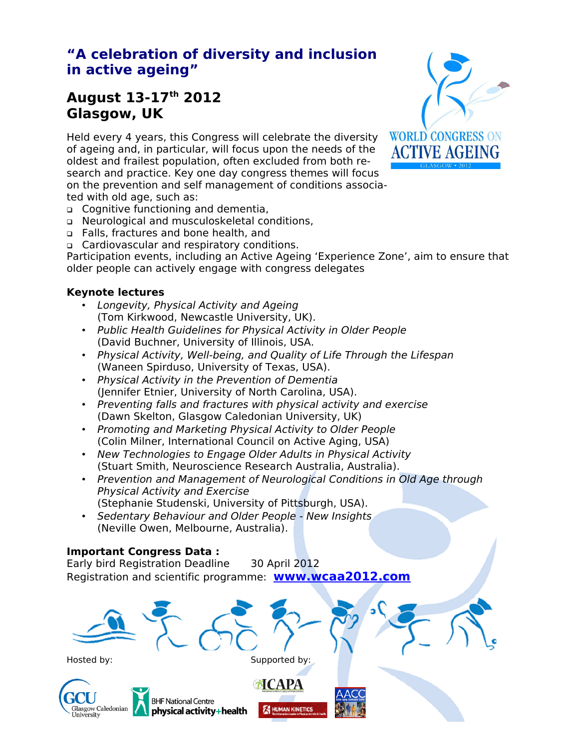## **"A celebration of diversity and inclusion in active ageing"**

### **August 13-17th 2012 Glasgow, UK**

Held every 4 years, this Congress will celebrate the diversity of ageing and, in particular, will focus upon the needs of the oldest and frailest population, often excluded from both research and practice. Key one day congress themes will focus on the prevention and self management of conditions associated with old age, such as:

- Cognitive functioning and dementia,
- Neurological and musculoskeletal conditions,
- Falls, fractures and bone health, and
- Cardiovascular and respiratory conditions.

Participation events, including an Active Ageing 'Experience Zone', aim to ensure that older people can actively engage with congress delegates

#### **Keynote lectures**

- Longevity, Physical Activity and Ageing (Tom Kirkwood, Newcastle University, UK).
- Public Health Guidelines for Physical Activity in Older People (David Buchner, University of Illinois, USA.
- Physical Activity, Well-being, and Quality of Life Through the Lifespan (Waneen Spirduso, University of Texas, USA).
- Physical Activity in the Prevention of Dementia (Jennifer Etnier, University of North Carolina, USA).
- Preventing falls and fractures with physical activity and exercise (Dawn Skelton, Glasgow Caledonian University, UK)
- Promoting and Marketing Physical Activity to Older People (Colin Milner, International Council on Active Aging, USA)
- New Technologies to Engage Older Adults in Physical Activity (Stuart Smith, Neuroscience Research Australia, Australia).
- Prevention and Management of Neurological Conditions in Old Age through Physical Activity and Exercise (Stephanie Studenski, University of Pittsburgh, USA).
- Sedentary Behaviour and Older People New Insights (Neville Owen, Melbourne, Australia).

#### **Important Congress Data :**

**BHF National Centre** 

physical activity+health

Early bird Registration Deadline 30 April 2012 Registration and scientific programme: **www.wcaa2012.com**



Hosted by: Supported by: